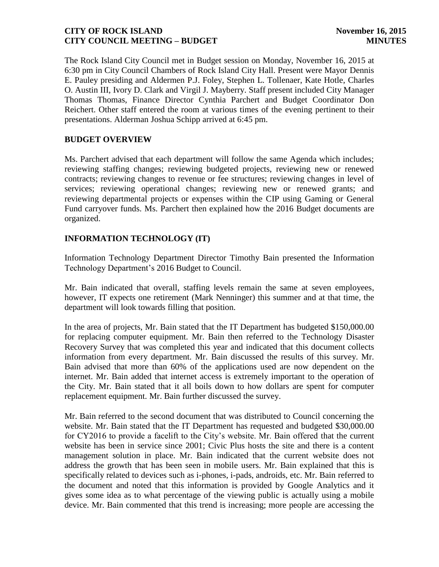The Rock Island City Council met in Budget session on Monday, November 16, 2015 at 6:30 pm in City Council Chambers of Rock Island City Hall. Present were Mayor Dennis E. Pauley presiding and Aldermen P.J. Foley, Stephen L. Tollenaer, Kate Hotle, Charles O. Austin III, Ivory D. Clark and Virgil J. Mayberry. Staff present included City Manager Thomas Thomas, Finance Director Cynthia Parchert and Budget Coordinator Don Reichert. Other staff entered the room at various times of the evening pertinent to their presentations. Alderman Joshua Schipp arrived at 6:45 pm.

## **BUDGET OVERVIEW**

Ms. Parchert advised that each department will follow the same Agenda which includes; reviewing staffing changes; reviewing budgeted projects, reviewing new or renewed contracts; reviewing changes to revenue or fee structures; reviewing changes in level of services; reviewing operational changes; reviewing new or renewed grants; and reviewing departmental projects or expenses within the CIP using Gaming or General Fund carryover funds. Ms. Parchert then explained how the 2016 Budget documents are organized.

## **INFORMATION TECHNOLOGY (IT)**

Information Technology Department Director Timothy Bain presented the Information Technology Department's 2016 Budget to Council.

Mr. Bain indicated that overall, staffing levels remain the same at seven employees, however, IT expects one retirement (Mark Nenninger) this summer and at that time, the department will look towards filling that position.

In the area of projects, Mr. Bain stated that the IT Department has budgeted \$150,000.00 for replacing computer equipment. Mr. Bain then referred to the Technology Disaster Recovery Survey that was completed this year and indicated that this document collects information from every department. Mr. Bain discussed the results of this survey. Mr. Bain advised that more than 60% of the applications used are now dependent on the internet. Mr. Bain added that internet access is extremely important to the operation of the City. Mr. Bain stated that it all boils down to how dollars are spent for computer replacement equipment. Mr. Bain further discussed the survey.

Mr. Bain referred to the second document that was distributed to Council concerning the website. Mr. Bain stated that the IT Department has requested and budgeted \$30,000.00 for CY2016 to provide a facelift to the City's website. Mr. Bain offered that the current website has been in service since 2001; Civic Plus hosts the site and there is a content management solution in place. Mr. Bain indicated that the current website does not address the growth that has been seen in mobile users. Mr. Bain explained that this is specifically related to devices such as i-phones, i-pads, androids, etc. Mr. Bain referred to the document and noted that this information is provided by Google Analytics and it gives some idea as to what percentage of the viewing public is actually using a mobile device. Mr. Bain commented that this trend is increasing; more people are accessing the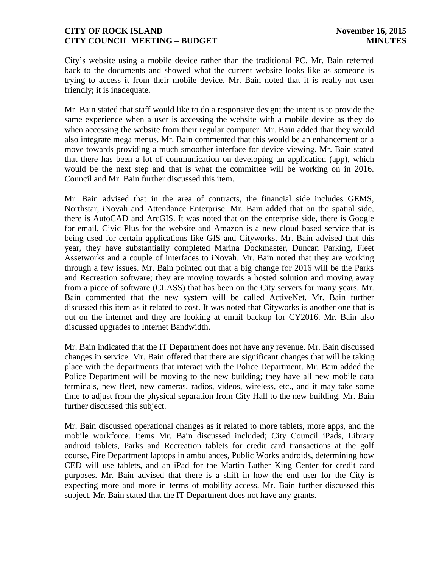City's website using a mobile device rather than the traditional PC. Mr. Bain referred back to the documents and showed what the current website looks like as someone is trying to access it from their mobile device. Mr. Bain noted that it is really not user friendly; it is inadequate.

Mr. Bain stated that staff would like to do a responsive design; the intent is to provide the same experience when a user is accessing the website with a mobile device as they do when accessing the website from their regular computer. Mr. Bain added that they would also integrate mega menus. Mr. Bain commented that this would be an enhancement or a move towards providing a much smoother interface for device viewing. Mr. Bain stated that there has been a lot of communication on developing an application (app), which would be the next step and that is what the committee will be working on in 2016. Council and Mr. Bain further discussed this item.

Mr. Bain advised that in the area of contracts, the financial side includes GEMS, Northstar, iNovah and Attendance Enterprise. Mr. Bain added that on the spatial side, there is AutoCAD and ArcGIS. It was noted that on the enterprise side, there is Google for email, Civic Plus for the website and Amazon is a new cloud based service that is being used for certain applications like GIS and Cityworks. Mr. Bain advised that this year, they have substantially completed Marina Dockmaster, Duncan Parking, Fleet Assetworks and a couple of interfaces to iNovah. Mr. Bain noted that they are working through a few issues. Mr. Bain pointed out that a big change for 2016 will be the Parks and Recreation software; they are moving towards a hosted solution and moving away from a piece of software (CLASS) that has been on the City servers for many years. Mr. Bain commented that the new system will be called ActiveNet. Mr. Bain further discussed this item as it related to cost. It was noted that Cityworks is another one that is out on the internet and they are looking at email backup for CY2016. Mr. Bain also discussed upgrades to Internet Bandwidth.

Mr. Bain indicated that the IT Department does not have any revenue. Mr. Bain discussed changes in service. Mr. Bain offered that there are significant changes that will be taking place with the departments that interact with the Police Department. Mr. Bain added the Police Department will be moving to the new building; they have all new mobile data terminals, new fleet, new cameras, radios, videos, wireless, etc., and it may take some time to adjust from the physical separation from City Hall to the new building. Mr. Bain further discussed this subject.

Mr. Bain discussed operational changes as it related to more tablets, more apps, and the mobile workforce. Items Mr. Bain discussed included; City Council iPads, Library android tablets, Parks and Recreation tablets for credit card transactions at the golf course, Fire Department laptops in ambulances, Public Works androids, determining how CED will use tablets, and an iPad for the Martin Luther King Center for credit card purposes. Mr. Bain advised that there is a shift in how the end user for the City is expecting more and more in terms of mobility access. Mr. Bain further discussed this subject. Mr. Bain stated that the IT Department does not have any grants.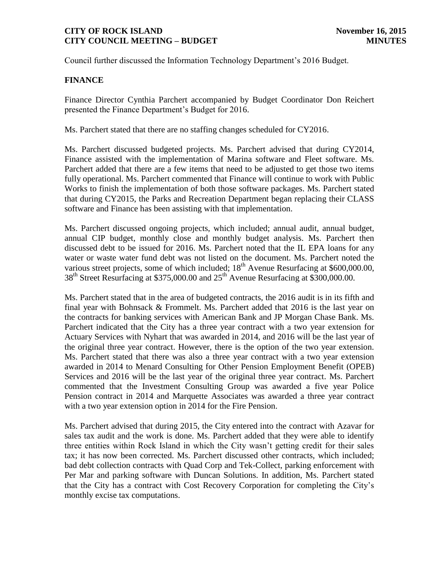Council further discussed the Information Technology Department's 2016 Budget.

## **FINANCE**

Finance Director Cynthia Parchert accompanied by Budget Coordinator Don Reichert presented the Finance Department's Budget for 2016.

Ms. Parchert stated that there are no staffing changes scheduled for CY2016.

Ms. Parchert discussed budgeted projects. Ms. Parchert advised that during CY2014, Finance assisted with the implementation of Marina software and Fleet software. Ms. Parchert added that there are a few items that need to be adjusted to get those two items fully operational. Ms. Parchert commented that Finance will continue to work with Public Works to finish the implementation of both those software packages. Ms. Parchert stated that during CY2015, the Parks and Recreation Department began replacing their CLASS software and Finance has been assisting with that implementation.

Ms. Parchert discussed ongoing projects, which included; annual audit, annual budget, annual CIP budget, monthly close and monthly budget analysis. Ms. Parchert then discussed debt to be issued for 2016. Ms. Parchert noted that the IL EPA loans for any water or waste water fund debt was not listed on the document. Ms. Parchert noted the various street projects, some of which included;  $18<sup>th</sup>$  Avenue Resurfacing at \$600,000.00, 38<sup>th</sup> Street Resurfacing at \$375,000.00 and 25<sup>th</sup> Avenue Resurfacing at \$300,000.00.

Ms. Parchert stated that in the area of budgeted contracts, the 2016 audit is in its fifth and final year with Bohnsack & Frommelt. Ms. Parchert added that 2016 is the last year on the contracts for banking services with American Bank and JP Morgan Chase Bank. Ms. Parchert indicated that the City has a three year contract with a two year extension for Actuary Services with Nyhart that was awarded in 2014, and 2016 will be the last year of the original three year contract. However, there is the option of the two year extension. Ms. Parchert stated that there was also a three year contract with a two year extension awarded in 2014 to Menard Consulting for Other Pension Employment Benefit (OPEB) Services and 2016 will be the last year of the original three year contract. Ms. Parchert commented that the Investment Consulting Group was awarded a five year Police Pension contract in 2014 and Marquette Associates was awarded a three year contract with a two year extension option in 2014 for the Fire Pension.

Ms. Parchert advised that during 2015, the City entered into the contract with Azavar for sales tax audit and the work is done. Ms. Parchert added that they were able to identify three entities within Rock Island in which the City wasn't getting credit for their sales tax; it has now been corrected. Ms. Parchert discussed other contracts, which included; bad debt collection contracts with Quad Corp and Tek-Collect, parking enforcement with Per Mar and parking software with Duncan Solutions. In addition, Ms. Parchert stated that the City has a contract with Cost Recovery Corporation for completing the City's monthly excise tax computations.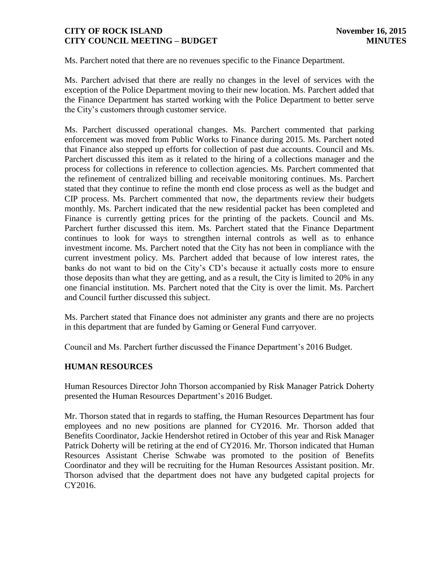Ms. Parchert noted that there are no revenues specific to the Finance Department.

Ms. Parchert advised that there are really no changes in the level of services with the exception of the Police Department moving to their new location. Ms. Parchert added that the Finance Department has started working with the Police Department to better serve the City's customers through customer service.

Ms. Parchert discussed operational changes. Ms. Parchert commented that parking enforcement was moved from Public Works to Finance during 2015. Ms. Parchert noted that Finance also stepped up efforts for collection of past due accounts. Council and Ms. Parchert discussed this item as it related to the hiring of a collections manager and the process for collections in reference to collection agencies. Ms. Parchert commented that the refinement of centralized billing and receivable monitoring continues. Ms. Parchert stated that they continue to refine the month end close process as well as the budget and CIP process. Ms. Parchert commented that now, the departments review their budgets monthly. Ms. Parchert indicated that the new residential packet has been completed and Finance is currently getting prices for the printing of the packets. Council and Ms. Parchert further discussed this item. Ms. Parchert stated that the Finance Department continues to look for ways to strengthen internal controls as well as to enhance investment income. Ms. Parchert noted that the City has not been in compliance with the current investment policy. Ms. Parchert added that because of low interest rates, the banks do not want to bid on the City's CD's because it actually costs more to ensure those deposits than what they are getting, and as a result, the City is limited to 20% in any one financial institution. Ms. Parchert noted that the City is over the limit. Ms. Parchert and Council further discussed this subject.

Ms. Parchert stated that Finance does not administer any grants and there are no projects in this department that are funded by Gaming or General Fund carryover.

Council and Ms. Parchert further discussed the Finance Department's 2016 Budget.

# **HUMAN RESOURCES**

Human Resources Director John Thorson accompanied by Risk Manager Patrick Doherty presented the Human Resources Department's 2016 Budget.

Mr. Thorson stated that in regards to staffing, the Human Resources Department has four employees and no new positions are planned for CY2016. Mr. Thorson added that Benefits Coordinator, Jackie Hendershot retired in October of this year and Risk Manager Patrick Doherty will be retiring at the end of CY2016. Mr. Thorson indicated that Human Resources Assistant Cherise Schwabe was promoted to the position of Benefits Coordinator and they will be recruiting for the Human Resources Assistant position. Mr. Thorson advised that the department does not have any budgeted capital projects for CY2016.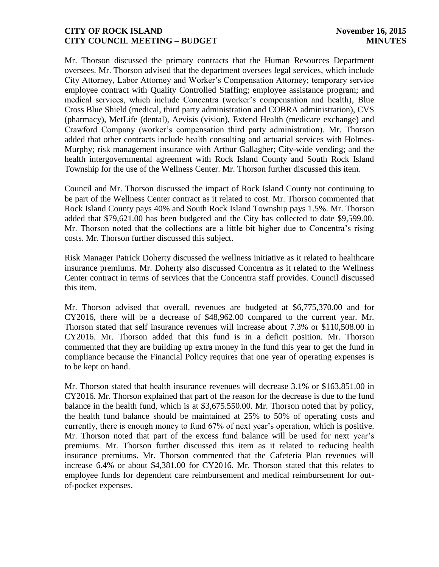Mr. Thorson discussed the primary contracts that the Human Resources Department oversees. Mr. Thorson advised that the department oversees legal services, which include City Attorney, Labor Attorney and Worker's Compensation Attorney; temporary service employee contract with Quality Controlled Staffing; employee assistance program; and medical services, which include Concentra (worker's compensation and health), Blue Cross Blue Shield (medical, third party administration and COBRA administration), CVS (pharmacy), MetLife (dental), Aevisis (vision), Extend Health (medicare exchange) and Crawford Company (worker's compensation third party administration). Mr. Thorson added that other contracts include health consulting and actuarial services with Holmes-Murphy; risk management insurance with Arthur Gallagher; City-wide vending; and the health intergovernmental agreement with Rock Island County and South Rock Island Township for the use of the Wellness Center. Mr. Thorson further discussed this item.

Council and Mr. Thorson discussed the impact of Rock Island County not continuing to be part of the Wellness Center contract as it related to cost. Mr. Thorson commented that Rock Island County pays 40% and South Rock Island Township pays 1.5%. Mr. Thorson added that \$79,621.00 has been budgeted and the City has collected to date \$9,599.00. Mr. Thorson noted that the collections are a little bit higher due to Concentra's rising costs. Mr. Thorson further discussed this subject.

Risk Manager Patrick Doherty discussed the wellness initiative as it related to healthcare insurance premiums. Mr. Doherty also discussed Concentra as it related to the Wellness Center contract in terms of services that the Concentra staff provides. Council discussed this item.

Mr. Thorson advised that overall, revenues are budgeted at \$6,775,370.00 and for CY2016, there will be a decrease of \$48,962.00 compared to the current year. Mr. Thorson stated that self insurance revenues will increase about 7.3% or \$110,508.00 in CY2016. Mr. Thorson added that this fund is in a deficit position. Mr. Thorson commented that they are building up extra money in the fund this year to get the fund in compliance because the Financial Policy requires that one year of operating expenses is to be kept on hand.

Mr. Thorson stated that health insurance revenues will decrease 3.1% or \$163,851.00 in CY2016. Mr. Thorson explained that part of the reason for the decrease is due to the fund balance in the health fund, which is at \$3,675.550.00. Mr. Thorson noted that by policy, the health fund balance should be maintained at 25% to 50% of operating costs and currently, there is enough money to fund 67% of next year's operation, which is positive. Mr. Thorson noted that part of the excess fund balance will be used for next year's premiums. Mr. Thorson further discussed this item as it related to reducing health insurance premiums. Mr. Thorson commented that the Cafeteria Plan revenues will increase 6.4% or about \$4,381.00 for CY2016. Mr. Thorson stated that this relates to employee funds for dependent care reimbursement and medical reimbursement for outof-pocket expenses.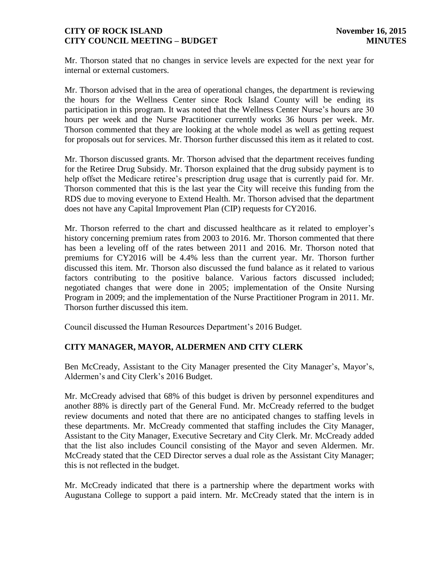Mr. Thorson stated that no changes in service levels are expected for the next year for internal or external customers.

Mr. Thorson advised that in the area of operational changes, the department is reviewing the hours for the Wellness Center since Rock Island County will be ending its participation in this program. It was noted that the Wellness Center Nurse's hours are 30 hours per week and the Nurse Practitioner currently works 36 hours per week. Mr. Thorson commented that they are looking at the whole model as well as getting request for proposals out for services. Mr. Thorson further discussed this item as it related to cost.

Mr. Thorson discussed grants. Mr. Thorson advised that the department receives funding for the Retiree Drug Subsidy. Mr. Thorson explained that the drug subsidy payment is to help offset the Medicare retiree's prescription drug usage that is currently paid for. Mr. Thorson commented that this is the last year the City will receive this funding from the RDS due to moving everyone to Extend Health. Mr. Thorson advised that the department does not have any Capital Improvement Plan (CIP) requests for CY2016.

Mr. Thorson referred to the chart and discussed healthcare as it related to employer's history concerning premium rates from 2003 to 2016. Mr. Thorson commented that there has been a leveling off of the rates between 2011 and 2016. Mr. Thorson noted that premiums for CY2016 will be 4.4% less than the current year. Mr. Thorson further discussed this item. Mr. Thorson also discussed the fund balance as it related to various factors contributing to the positive balance. Various factors discussed included; negotiated changes that were done in 2005; implementation of the Onsite Nursing Program in 2009; and the implementation of the Nurse Practitioner Program in 2011. Mr. Thorson further discussed this item.

Council discussed the Human Resources Department's 2016 Budget.

# **CITY MANAGER, MAYOR, ALDERMEN AND CITY CLERK**

Ben McCready, Assistant to the City Manager presented the City Manager's, Mayor's, Aldermen's and City Clerk's 2016 Budget.

Mr. McCready advised that 68% of this budget is driven by personnel expenditures and another 88% is directly part of the General Fund. Mr. McCready referred to the budget review documents and noted that there are no anticipated changes to staffing levels in these departments. Mr. McCready commented that staffing includes the City Manager, Assistant to the City Manager, Executive Secretary and City Clerk. Mr. McCready added that the list also includes Council consisting of the Mayor and seven Aldermen. Mr. McCready stated that the CED Director serves a dual role as the Assistant City Manager; this is not reflected in the budget.

Mr. McCready indicated that there is a partnership where the department works with Augustana College to support a paid intern. Mr. McCready stated that the intern is in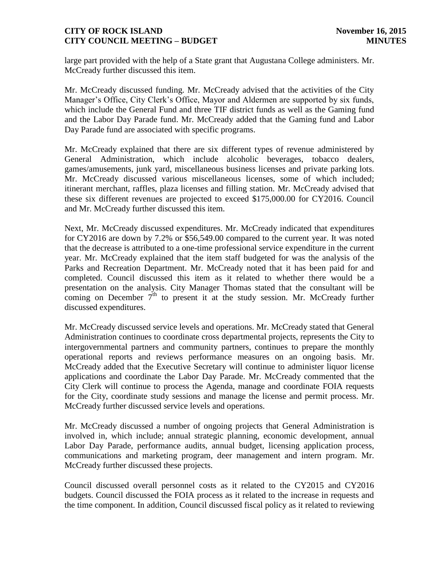large part provided with the help of a State grant that Augustana College administers. Mr. McCready further discussed this item.

Mr. McCready discussed funding. Mr. McCready advised that the activities of the City Manager's Office, City Clerk's Office, Mayor and Aldermen are supported by six funds, which include the General Fund and three TIF district funds as well as the Gaming fund and the Labor Day Parade fund. Mr. McCready added that the Gaming fund and Labor Day Parade fund are associated with specific programs.

Mr. McCready explained that there are six different types of revenue administered by General Administration, which include alcoholic beverages, tobacco dealers, games/amusements, junk yard, miscellaneous business licenses and private parking lots. Mr. McCready discussed various miscellaneous licenses, some of which included; itinerant merchant, raffles, plaza licenses and filling station. Mr. McCready advised that these six different revenues are projected to exceed \$175,000.00 for CY2016. Council and Mr. McCready further discussed this item.

Next, Mr. McCready discussed expenditures. Mr. McCready indicated that expenditures for CY2016 are down by 7.2% or \$56,549.00 compared to the current year. It was noted that the decrease is attributed to a one-time professional service expenditure in the current year. Mr. McCready explained that the item staff budgeted for was the analysis of the Parks and Recreation Department. Mr. McCready noted that it has been paid for and completed. Council discussed this item as it related to whether there would be a presentation on the analysis. City Manager Thomas stated that the consultant will be coming on December  $7<sup>th</sup>$  to present it at the study session. Mr. McCready further discussed expenditures.

Mr. McCready discussed service levels and operations. Mr. McCready stated that General Administration continues to coordinate cross departmental projects, represents the City to intergovernmental partners and community partners, continues to prepare the monthly operational reports and reviews performance measures on an ongoing basis. Mr. McCready added that the Executive Secretary will continue to administer liquor license applications and coordinate the Labor Day Parade. Mr. McCready commented that the City Clerk will continue to process the Agenda, manage and coordinate FOIA requests for the City, coordinate study sessions and manage the license and permit process. Mr. McCready further discussed service levels and operations.

Mr. McCready discussed a number of ongoing projects that General Administration is involved in, which include; annual strategic planning, economic development, annual Labor Day Parade, performance audits, annual budget, licensing application process, communications and marketing program, deer management and intern program. Mr. McCready further discussed these projects.

Council discussed overall personnel costs as it related to the CY2015 and CY2016 budgets. Council discussed the FOIA process as it related to the increase in requests and the time component. In addition, Council discussed fiscal policy as it related to reviewing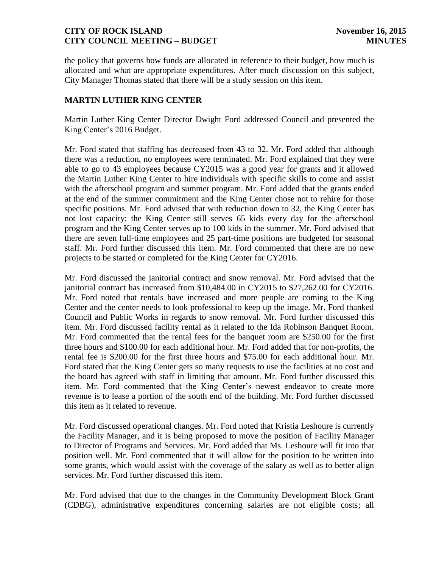the policy that governs how funds are allocated in reference to their budget, how much is allocated and what are appropriate expenditures. After much discussion on this subject, City Manager Thomas stated that there will be a study session on this item.

# **MARTIN LUTHER KING CENTER**

Martin Luther King Center Director Dwight Ford addressed Council and presented the King Center's 2016 Budget.

Mr. Ford stated that staffing has decreased from 43 to 32. Mr. Ford added that although there was a reduction, no employees were terminated. Mr. Ford explained that they were able to go to 43 employees because CY2015 was a good year for grants and it allowed the Martin Luther King Center to hire individuals with specific skills to come and assist with the afterschool program and summer program. Mr. Ford added that the grants ended at the end of the summer commitment and the King Center chose not to rehire for those specific positions. Mr. Ford advised that with reduction down to 32, the King Center has not lost capacity; the King Center still serves 65 kids every day for the afterschool program and the King Center serves up to 100 kids in the summer. Mr. Ford advised that there are seven full-time employees and 25 part-time positions are budgeted for seasonal staff. Mr. Ford further discussed this item. Mr. Ford commented that there are no new projects to be started or completed for the King Center for CY2016.

Mr. Ford discussed the janitorial contract and snow removal. Mr. Ford advised that the janitorial contract has increased from \$10,484.00 in CY2015 to \$27,262.00 for CY2016. Mr. Ford noted that rentals have increased and more people are coming to the King Center and the center needs to look professional to keep up the image. Mr. Ford thanked Council and Public Works in regards to snow removal. Mr. Ford further discussed this item. Mr. Ford discussed facility rental as it related to the Ida Robinson Banquet Room. Mr. Ford commented that the rental fees for the banquet room are \$250.00 for the first three hours and \$100.00 for each additional hour. Mr. Ford added that for non-profits, the rental fee is \$200.00 for the first three hours and \$75.00 for each additional hour. Mr. Ford stated that the King Center gets so many requests to use the facilities at no cost and the board has agreed with staff in limiting that amount. Mr. Ford further discussed this item. Mr. Ford commented that the King Center's newest endeavor to create more revenue is to lease a portion of the south end of the building. Mr. Ford further discussed this item as it related to revenue.

Mr. Ford discussed operational changes. Mr. Ford noted that Kristia Leshoure is currently the Facility Manager, and it is being proposed to move the position of Facility Manager to Director of Programs and Services. Mr. Ford added that Ms. Leshoure will fit into that position well. Mr. Ford commented that it will allow for the position to be written into some grants, which would assist with the coverage of the salary as well as to better align services. Mr. Ford further discussed this item.

Mr. Ford advised that due to the changes in the Community Development Block Grant (CDBG), administrative expenditures concerning salaries are not eligible costs; all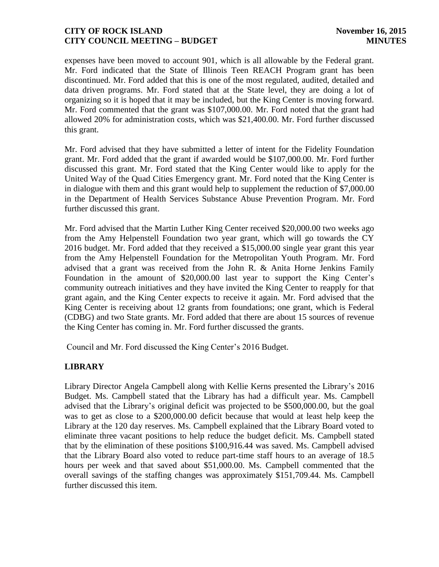expenses have been moved to account 901, which is all allowable by the Federal grant. Mr. Ford indicated that the State of Illinois Teen REACH Program grant has been discontinued. Mr. Ford added that this is one of the most regulated, audited, detailed and data driven programs. Mr. Ford stated that at the State level, they are doing a lot of organizing so it is hoped that it may be included, but the King Center is moving forward. Mr. Ford commented that the grant was \$107,000.00. Mr. Ford noted that the grant had allowed 20% for administration costs, which was \$21,400.00. Mr. Ford further discussed this grant.

Mr. Ford advised that they have submitted a letter of intent for the Fidelity Foundation grant. Mr. Ford added that the grant if awarded would be \$107,000.00. Mr. Ford further discussed this grant. Mr. Ford stated that the King Center would like to apply for the United Way of the Quad Cities Emergency grant. Mr. Ford noted that the King Center is in dialogue with them and this grant would help to supplement the reduction of \$7,000.00 in the Department of Health Services Substance Abuse Prevention Program. Mr. Ford further discussed this grant.

Mr. Ford advised that the Martin Luther King Center received \$20,000.00 two weeks ago from the Amy Helpenstell Foundation two year grant, which will go towards the CY 2016 budget. Mr. Ford added that they received a \$15,000.00 single year grant this year from the Amy Helpenstell Foundation for the Metropolitan Youth Program. Mr. Ford advised that a grant was received from the John R. & Anita Horne Jenkins Family Foundation in the amount of \$20,000.00 last year to support the King Center's community outreach initiatives and they have invited the King Center to reapply for that grant again, and the King Center expects to receive it again. Mr. Ford advised that the King Center is receiving about 12 grants from foundations; one grant, which is Federal (CDBG) and two State grants. Mr. Ford added that there are about 15 sources of revenue the King Center has coming in. Mr. Ford further discussed the grants.

Council and Mr. Ford discussed the King Center's 2016 Budget.

# **LIBRARY**

Library Director Angela Campbell along with Kellie Kerns presented the Library's 2016 Budget. Ms. Campbell stated that the Library has had a difficult year. Ms. Campbell advised that the Library's original deficit was projected to be \$500,000.00, but the goal was to get as close to a \$200,000.00 deficit because that would at least help keep the Library at the 120 day reserves. Ms. Campbell explained that the Library Board voted to eliminate three vacant positions to help reduce the budget deficit. Ms. Campbell stated that by the elimination of these positions \$100,916.44 was saved. Ms. Campbell advised that the Library Board also voted to reduce part-time staff hours to an average of 18.5 hours per week and that saved about \$51,000.00. Ms. Campbell commented that the overall savings of the staffing changes was approximately \$151,709.44. Ms. Campbell further discussed this item.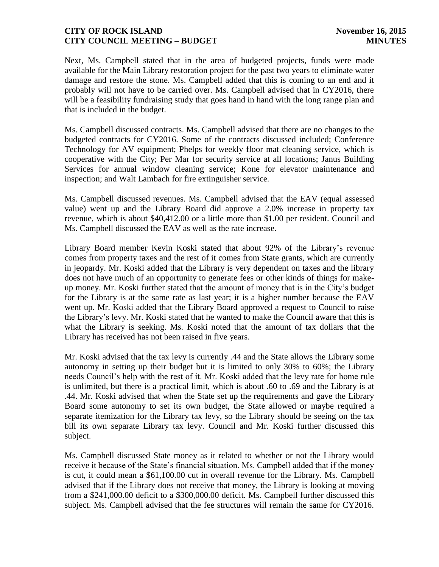Next, Ms. Campbell stated that in the area of budgeted projects, funds were made available for the Main Library restoration project for the past two years to eliminate water damage and restore the stone. Ms. Campbell added that this is coming to an end and it probably will not have to be carried over. Ms. Campbell advised that in CY2016, there will be a feasibility fundraising study that goes hand in hand with the long range plan and that is included in the budget.

Ms. Campbell discussed contracts. Ms. Campbell advised that there are no changes to the budgeted contracts for CY2016. Some of the contracts discussed included; Conference Technology for AV equipment; Phelps for weekly floor mat cleaning service, which is cooperative with the City; Per Mar for security service at all locations; Janus Building Services for annual window cleaning service; Kone for elevator maintenance and inspection; and Walt Lambach for fire extinguisher service.

Ms. Campbell discussed revenues. Ms. Campbell advised that the EAV (equal assessed value) went up and the Library Board did approve a 2.0% increase in property tax revenue, which is about \$40,412.00 or a little more than \$1.00 per resident. Council and Ms. Campbell discussed the EAV as well as the rate increase.

Library Board member Kevin Koski stated that about 92% of the Library's revenue comes from property taxes and the rest of it comes from State grants, which are currently in jeopardy. Mr. Koski added that the Library is very dependent on taxes and the library does not have much of an opportunity to generate fees or other kinds of things for makeup money. Mr. Koski further stated that the amount of money that is in the City's budget for the Library is at the same rate as last year; it is a higher number because the EAV went up. Mr. Koski added that the Library Board approved a request to Council to raise the Library's levy. Mr. Koski stated that he wanted to make the Council aware that this is what the Library is seeking. Ms. Koski noted that the amount of tax dollars that the Library has received has not been raised in five years.

Mr. Koski advised that the tax levy is currently .44 and the State allows the Library some autonomy in setting up their budget but it is limited to only 30% to 60%; the Library needs Council's help with the rest of it. Mr. Koski added that the levy rate for home rule is unlimited, but there is a practical limit, which is about .60 to .69 and the Library is at .44. Mr. Koski advised that when the State set up the requirements and gave the Library Board some autonomy to set its own budget, the State allowed or maybe required a separate itemization for the Library tax levy, so the Library should be seeing on the tax bill its own separate Library tax levy. Council and Mr. Koski further discussed this subject.

Ms. Campbell discussed State money as it related to whether or not the Library would receive it because of the State's financial situation. Ms. Campbell added that if the money is cut, it could mean a \$61,100.00 cut in overall revenue for the Library. Ms. Campbell advised that if the Library does not receive that money, the Library is looking at moving from a \$241,000.00 deficit to a \$300,000.00 deficit. Ms. Campbell further discussed this subject. Ms. Campbell advised that the fee structures will remain the same for CY2016.